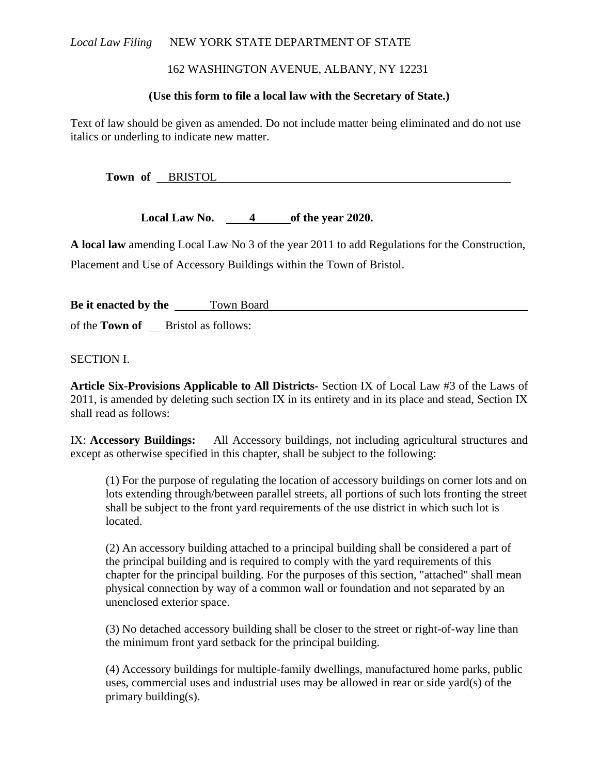# Local Law Filing NEW YORK STATE DEPARTMENT OF STATE

# 162 WASHINGTON AVENUE, ALBANY, NY 12231

### **(Use this form to file a local law with the Secretary of State.)**

Text of law should be given as amended. Do not include matter being eliminated and do not use italics or underling to indicate new matter.

**Town of** BRISTOL

**Local Law No. 4 of the year 2020.**

**A local law** amending Local Law No 3 of the year 2011 to add Regulations for the Construction, Placement and Use of Accessory Buildings within the Town of Bristol.

**Be it enacted by the** Town Board of the **Town of** Bristol as follows:

SECTION I.

**Article Six-Provisions Applicable to All Districts-** Section IX of Local Law #3 of the Laws of 2011, is amended by deleting such section IX in its entirety and in its place and stead, Section IX shall read as follows:

IX: **Accessory Buildings:** All Accessory buildings, not including agricultural structures and except as otherwise specified in this chapter, shall be subject to the following:

(1) For the purpose of regulating the location of accessory buildings on corner lots and on lots extending through/between parallel streets, all portions of such lots fronting the street shall be subject to the front yard requirements of the use district in which such lot is located.

(2) An accessory building attached to a principal building shall be considered a part of the principal building and is required to comply with the yard requirements of this chapter for the principal building. For the purposes of this section, "attached" shall mean physical connection by way of a common wall or foundation and not separated by an unenclosed exterior space.

(3) No detached accessory building shall be closer to the street or right-of-way line than the minimum front yard setback for the principal building.

(4) Accessory buildings for multiple-family dwellings, manufactured home parks, public uses, commercial uses and industrial uses may be allowed in rear or side yard(s) of the primary building(s).